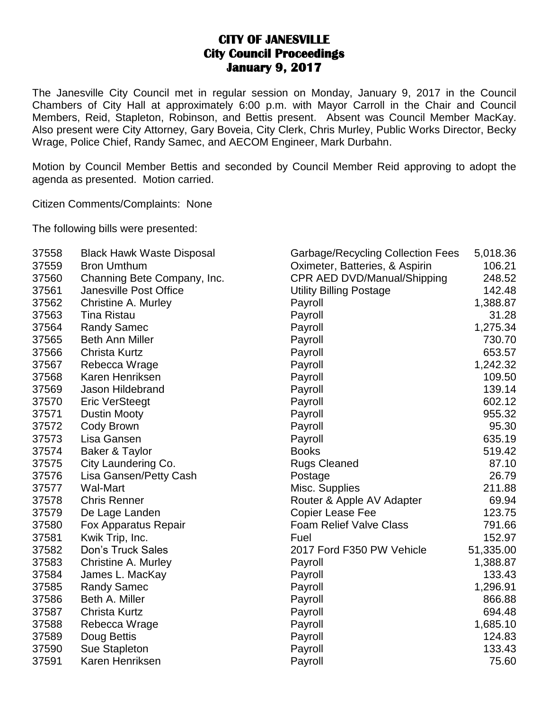## **CITY OF JANESVILLE City Council Proceedings January 9, 2017**

The Janesville City Council met in regular session on Monday, January 9, 2017 in the Council Chambers of City Hall at approximately 6:00 p.m. with Mayor Carroll in the Chair and Council Members, Reid, Stapleton, Robinson, and Bettis present. Absent was Council Member MacKay. Also present were City Attorney, Gary Boveia, City Clerk, Chris Murley, Public Works Director, Becky Wrage, Police Chief, Randy Samec, and AECOM Engineer, Mark Durbahn.

Motion by Council Member Bettis and seconded by Council Member Reid approving to adopt the agenda as presented. Motion carried.

Citizen Comments/Complaints: None

The following bills were presented:

| 37558 | <b>Black Hawk Waste Disposal</b> | <b>Garbage/Recycling Collection Fees</b> | 5,018.36  |
|-------|----------------------------------|------------------------------------------|-----------|
| 37559 | <b>Bron Umthum</b>               | Oximeter, Batteries, & Aspirin           | 106.21    |
| 37560 | Channing Bete Company, Inc.      | CPR AED DVD/Manual/Shipping              | 248.52    |
| 37561 | Janesville Post Office           | <b>Utility Billing Postage</b>           | 142.48    |
| 37562 | <b>Christine A. Murley</b>       | Payroll                                  | 1,388.87  |
| 37563 | <b>Tina Ristau</b>               | Payroll                                  | 31.28     |
| 37564 | <b>Randy Samec</b>               | Payroll                                  | 1,275.34  |
| 37565 | <b>Beth Ann Miller</b>           | Payroll                                  | 730.70    |
| 37566 | <b>Christa Kurtz</b>             | Payroll                                  | 653.57    |
| 37567 | Rebecca Wrage                    | Payroll                                  | 1,242.32  |
| 37568 | Karen Henriksen                  | Payroll                                  | 109.50    |
| 37569 | Jason Hildebrand                 | Payroll                                  | 139.14    |
| 37570 | <b>Eric VerSteegt</b>            | Payroll                                  | 602.12    |
| 37571 | <b>Dustin Mooty</b>              | Payroll                                  | 955.32    |
| 37572 | Cody Brown                       | Payroll                                  | 95.30     |
| 37573 | Lisa Gansen                      | Payroll                                  | 635.19    |
| 37574 | Baker & Taylor                   | <b>Books</b>                             | 519.42    |
| 37575 | City Laundering Co.              | <b>Rugs Cleaned</b>                      | 87.10     |
| 37576 | Lisa Gansen/Petty Cash           | Postage                                  | 26.79     |
| 37577 | <b>Wal-Mart</b>                  | Misc. Supplies                           | 211.88    |
| 37578 | <b>Chris Renner</b>              | Router & Apple AV Adapter                | 69.94     |
| 37579 | De Lage Landen                   | <b>Copier Lease Fee</b>                  | 123.75    |
| 37580 | Fox Apparatus Repair             | <b>Foam Relief Valve Class</b>           | 791.66    |
| 37581 | Kwik Trip, Inc.                  | Fuel                                     | 152.97    |
| 37582 | <b>Don's Truck Sales</b>         | 2017 Ford F350 PW Vehicle                | 51,335.00 |
| 37583 | <b>Christine A. Murley</b>       | Payroll                                  | 1,388.87  |
| 37584 | James L. MacKay                  | Payroll                                  | 133.43    |
| 37585 | <b>Randy Samec</b>               | Payroll                                  | 1,296.91  |
| 37586 | Beth A. Miller                   | Payroll                                  | 866.88    |
| 37587 | <b>Christa Kurtz</b>             | Payroll                                  | 694.48    |
| 37588 | Rebecca Wrage                    | Payroll                                  | 1,685.10  |
| 37589 | Doug Bettis                      | Payroll                                  | 124.83    |
| 37590 | Sue Stapleton                    | Payroll                                  | 133.43    |
| 37591 | Karen Henriksen                  | Payroll                                  | 75.60     |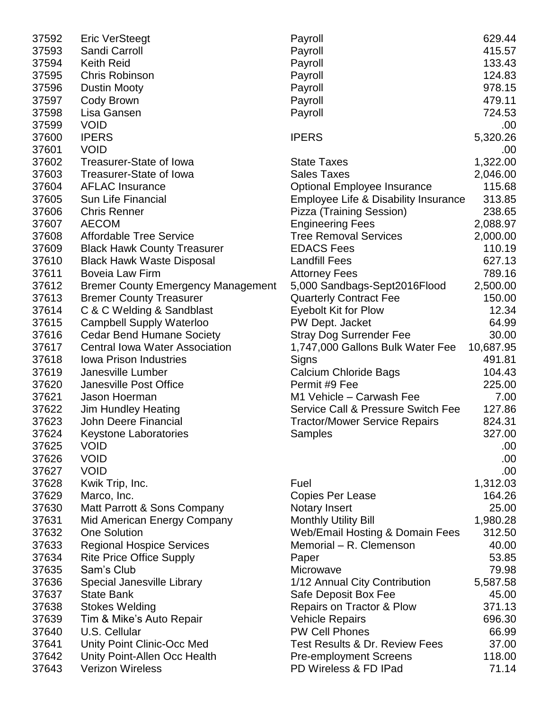| 37593<br>Sandi Carroll<br>Payroll<br><b>Keith Reid</b><br>37594<br>Payroll<br>37595<br><b>Chris Robinson</b><br>Payroll<br>37596<br>Payroll<br><b>Dustin Mooty</b><br>37597<br>Cody Brown<br>Payroll<br>37598<br>Lisa Gansen<br>Payroll<br>37599<br><b>VOID</b><br>37600<br><b>IPERS</b><br><b>IPERS</b><br>5,320.26<br><b>VOID</b><br>37601<br>37602<br>1,322.00<br>Treasurer-State of Iowa<br><b>State Taxes</b><br>37603<br>Treasurer-State of Iowa<br><b>Sales Taxes</b><br>2,046.00<br>37604<br><b>AFLAC Insurance</b><br><b>Optional Employee Insurance</b><br>37605<br>Sun Life Financial<br>Employee Life & Disability Insurance<br>37606<br><b>Chris Renner</b><br>Pizza (Training Session)<br>37607<br><b>AECOM</b><br><b>Engineering Fees</b><br>37608<br><b>Affordable Tree Service</b><br><b>Tree Removal Services</b><br>37609<br><b>Black Hawk County Treasurer</b><br><b>EDACS Fees</b><br><b>Landfill Fees</b><br>37610<br><b>Black Hawk Waste Disposal</b><br>37611<br>Boveia Law Firm<br><b>Attorney Fees</b><br>37612<br>5,000 Sandbags-Sept2016Flood<br><b>Bremer County Emergency Management</b><br>37613<br><b>Bremer County Treasurer</b><br><b>Quarterly Contract Fee</b><br>37614<br>C & C Welding & Sandblast<br>Eyebolt Kit for Plow<br>37615<br><b>Campbell Supply Waterloo</b><br>PW Dept. Jacket<br>37616<br><b>Cedar Bend Humane Society</b><br><b>Stray Dog Surrender Fee</b><br>37617<br><b>Central Iowa Water Association</b><br>1,747,000 Gallons Bulk Water Fee<br>37618<br>Iowa Prison Industries<br>Signs<br>37619<br>Janesville Lumber<br>Calcium Chloride Bags<br>37620<br>Janesville Post Office<br>Permit #9 Fee<br>37621<br>M1 Vehicle - Carwash Fee<br>Jason Hoerman<br>37622<br><b>Jim Hundley Heating</b><br>Service Call & Pressure Switch Fee<br>37623<br>John Deere Financial<br><b>Tractor/Mower Service Repairs</b><br>37624<br>Samples<br><b>Keystone Laboratories</b><br>37625<br><b>VOID</b><br>37626<br><b>VOID</b><br>37627<br><b>VOID</b><br>37628<br>Kwik Trip, Inc.<br>Fuel<br>37629<br>Marco, Inc.<br><b>Copies Per Lease</b><br>37630<br><b>Notary Insert</b><br>Matt Parrott & Sons Company<br>37631<br><b>Monthly Utility Bill</b><br>Mid American Energy Company<br>37632<br><b>One Solution</b><br><b>Web/Email Hosting &amp; Domain Fees</b><br>37633<br>Memorial - R. Clemenson<br><b>Regional Hospice Services</b><br>37634<br><b>Rite Price Office Supply</b><br>Paper<br>37635<br>Sam's Club<br>Microwave<br>37636<br>Special Janesville Library<br>1/12 Annual City Contribution | 37592 | <b>Eric VerSteegt</b> | Payroll | 629.44    |
|----------------------------------------------------------------------------------------------------------------------------------------------------------------------------------------------------------------------------------------------------------------------------------------------------------------------------------------------------------------------------------------------------------------------------------------------------------------------------------------------------------------------------------------------------------------------------------------------------------------------------------------------------------------------------------------------------------------------------------------------------------------------------------------------------------------------------------------------------------------------------------------------------------------------------------------------------------------------------------------------------------------------------------------------------------------------------------------------------------------------------------------------------------------------------------------------------------------------------------------------------------------------------------------------------------------------------------------------------------------------------------------------------------------------------------------------------------------------------------------------------------------------------------------------------------------------------------------------------------------------------------------------------------------------------------------------------------------------------------------------------------------------------------------------------------------------------------------------------------------------------------------------------------------------------------------------------------------------------------------------------------------------------------------------------------------------------------------------------------------------------------------------------------------------------------------------------------------------------------------------------------------------------------------------------------------------------------------------------------------------------------------------------------------------------------------------------------------------------------------------------------------------------------------------------------|-------|-----------------------|---------|-----------|
|                                                                                                                                                                                                                                                                                                                                                                                                                                                                                                                                                                                                                                                                                                                                                                                                                                                                                                                                                                                                                                                                                                                                                                                                                                                                                                                                                                                                                                                                                                                                                                                                                                                                                                                                                                                                                                                                                                                                                                                                                                                                                                                                                                                                                                                                                                                                                                                                                                                                                                                                                          |       |                       |         | 415.57    |
|                                                                                                                                                                                                                                                                                                                                                                                                                                                                                                                                                                                                                                                                                                                                                                                                                                                                                                                                                                                                                                                                                                                                                                                                                                                                                                                                                                                                                                                                                                                                                                                                                                                                                                                                                                                                                                                                                                                                                                                                                                                                                                                                                                                                                                                                                                                                                                                                                                                                                                                                                          |       |                       |         | 133.43    |
|                                                                                                                                                                                                                                                                                                                                                                                                                                                                                                                                                                                                                                                                                                                                                                                                                                                                                                                                                                                                                                                                                                                                                                                                                                                                                                                                                                                                                                                                                                                                                                                                                                                                                                                                                                                                                                                                                                                                                                                                                                                                                                                                                                                                                                                                                                                                                                                                                                                                                                                                                          |       |                       |         | 124.83    |
|                                                                                                                                                                                                                                                                                                                                                                                                                                                                                                                                                                                                                                                                                                                                                                                                                                                                                                                                                                                                                                                                                                                                                                                                                                                                                                                                                                                                                                                                                                                                                                                                                                                                                                                                                                                                                                                                                                                                                                                                                                                                                                                                                                                                                                                                                                                                                                                                                                                                                                                                                          |       |                       |         | 978.15    |
|                                                                                                                                                                                                                                                                                                                                                                                                                                                                                                                                                                                                                                                                                                                                                                                                                                                                                                                                                                                                                                                                                                                                                                                                                                                                                                                                                                                                                                                                                                                                                                                                                                                                                                                                                                                                                                                                                                                                                                                                                                                                                                                                                                                                                                                                                                                                                                                                                                                                                                                                                          |       |                       |         | 479.11    |
|                                                                                                                                                                                                                                                                                                                                                                                                                                                                                                                                                                                                                                                                                                                                                                                                                                                                                                                                                                                                                                                                                                                                                                                                                                                                                                                                                                                                                                                                                                                                                                                                                                                                                                                                                                                                                                                                                                                                                                                                                                                                                                                                                                                                                                                                                                                                                                                                                                                                                                                                                          |       |                       |         | 724.53    |
|                                                                                                                                                                                                                                                                                                                                                                                                                                                                                                                                                                                                                                                                                                                                                                                                                                                                                                                                                                                                                                                                                                                                                                                                                                                                                                                                                                                                                                                                                                                                                                                                                                                                                                                                                                                                                                                                                                                                                                                                                                                                                                                                                                                                                                                                                                                                                                                                                                                                                                                                                          |       |                       |         | .00       |
|                                                                                                                                                                                                                                                                                                                                                                                                                                                                                                                                                                                                                                                                                                                                                                                                                                                                                                                                                                                                                                                                                                                                                                                                                                                                                                                                                                                                                                                                                                                                                                                                                                                                                                                                                                                                                                                                                                                                                                                                                                                                                                                                                                                                                                                                                                                                                                                                                                                                                                                                                          |       |                       |         |           |
|                                                                                                                                                                                                                                                                                                                                                                                                                                                                                                                                                                                                                                                                                                                                                                                                                                                                                                                                                                                                                                                                                                                                                                                                                                                                                                                                                                                                                                                                                                                                                                                                                                                                                                                                                                                                                                                                                                                                                                                                                                                                                                                                                                                                                                                                                                                                                                                                                                                                                                                                                          |       |                       |         | .00       |
|                                                                                                                                                                                                                                                                                                                                                                                                                                                                                                                                                                                                                                                                                                                                                                                                                                                                                                                                                                                                                                                                                                                                                                                                                                                                                                                                                                                                                                                                                                                                                                                                                                                                                                                                                                                                                                                                                                                                                                                                                                                                                                                                                                                                                                                                                                                                                                                                                                                                                                                                                          |       |                       |         |           |
|                                                                                                                                                                                                                                                                                                                                                                                                                                                                                                                                                                                                                                                                                                                                                                                                                                                                                                                                                                                                                                                                                                                                                                                                                                                                                                                                                                                                                                                                                                                                                                                                                                                                                                                                                                                                                                                                                                                                                                                                                                                                                                                                                                                                                                                                                                                                                                                                                                                                                                                                                          |       |                       |         |           |
|                                                                                                                                                                                                                                                                                                                                                                                                                                                                                                                                                                                                                                                                                                                                                                                                                                                                                                                                                                                                                                                                                                                                                                                                                                                                                                                                                                                                                                                                                                                                                                                                                                                                                                                                                                                                                                                                                                                                                                                                                                                                                                                                                                                                                                                                                                                                                                                                                                                                                                                                                          |       |                       |         |           |
|                                                                                                                                                                                                                                                                                                                                                                                                                                                                                                                                                                                                                                                                                                                                                                                                                                                                                                                                                                                                                                                                                                                                                                                                                                                                                                                                                                                                                                                                                                                                                                                                                                                                                                                                                                                                                                                                                                                                                                                                                                                                                                                                                                                                                                                                                                                                                                                                                                                                                                                                                          |       |                       |         | 115.68    |
|                                                                                                                                                                                                                                                                                                                                                                                                                                                                                                                                                                                                                                                                                                                                                                                                                                                                                                                                                                                                                                                                                                                                                                                                                                                                                                                                                                                                                                                                                                                                                                                                                                                                                                                                                                                                                                                                                                                                                                                                                                                                                                                                                                                                                                                                                                                                                                                                                                                                                                                                                          |       |                       |         | 313.85    |
|                                                                                                                                                                                                                                                                                                                                                                                                                                                                                                                                                                                                                                                                                                                                                                                                                                                                                                                                                                                                                                                                                                                                                                                                                                                                                                                                                                                                                                                                                                                                                                                                                                                                                                                                                                                                                                                                                                                                                                                                                                                                                                                                                                                                                                                                                                                                                                                                                                                                                                                                                          |       |                       |         | 238.65    |
|                                                                                                                                                                                                                                                                                                                                                                                                                                                                                                                                                                                                                                                                                                                                                                                                                                                                                                                                                                                                                                                                                                                                                                                                                                                                                                                                                                                                                                                                                                                                                                                                                                                                                                                                                                                                                                                                                                                                                                                                                                                                                                                                                                                                                                                                                                                                                                                                                                                                                                                                                          |       |                       |         | 2,088.97  |
|                                                                                                                                                                                                                                                                                                                                                                                                                                                                                                                                                                                                                                                                                                                                                                                                                                                                                                                                                                                                                                                                                                                                                                                                                                                                                                                                                                                                                                                                                                                                                                                                                                                                                                                                                                                                                                                                                                                                                                                                                                                                                                                                                                                                                                                                                                                                                                                                                                                                                                                                                          |       |                       |         | 2,000.00  |
|                                                                                                                                                                                                                                                                                                                                                                                                                                                                                                                                                                                                                                                                                                                                                                                                                                                                                                                                                                                                                                                                                                                                                                                                                                                                                                                                                                                                                                                                                                                                                                                                                                                                                                                                                                                                                                                                                                                                                                                                                                                                                                                                                                                                                                                                                                                                                                                                                                                                                                                                                          |       |                       |         | 110.19    |
|                                                                                                                                                                                                                                                                                                                                                                                                                                                                                                                                                                                                                                                                                                                                                                                                                                                                                                                                                                                                                                                                                                                                                                                                                                                                                                                                                                                                                                                                                                                                                                                                                                                                                                                                                                                                                                                                                                                                                                                                                                                                                                                                                                                                                                                                                                                                                                                                                                                                                                                                                          |       |                       |         | 627.13    |
|                                                                                                                                                                                                                                                                                                                                                                                                                                                                                                                                                                                                                                                                                                                                                                                                                                                                                                                                                                                                                                                                                                                                                                                                                                                                                                                                                                                                                                                                                                                                                                                                                                                                                                                                                                                                                                                                                                                                                                                                                                                                                                                                                                                                                                                                                                                                                                                                                                                                                                                                                          |       |                       |         | 789.16    |
|                                                                                                                                                                                                                                                                                                                                                                                                                                                                                                                                                                                                                                                                                                                                                                                                                                                                                                                                                                                                                                                                                                                                                                                                                                                                                                                                                                                                                                                                                                                                                                                                                                                                                                                                                                                                                                                                                                                                                                                                                                                                                                                                                                                                                                                                                                                                                                                                                                                                                                                                                          |       |                       |         | 2,500.00  |
|                                                                                                                                                                                                                                                                                                                                                                                                                                                                                                                                                                                                                                                                                                                                                                                                                                                                                                                                                                                                                                                                                                                                                                                                                                                                                                                                                                                                                                                                                                                                                                                                                                                                                                                                                                                                                                                                                                                                                                                                                                                                                                                                                                                                                                                                                                                                                                                                                                                                                                                                                          |       |                       |         | 150.00    |
|                                                                                                                                                                                                                                                                                                                                                                                                                                                                                                                                                                                                                                                                                                                                                                                                                                                                                                                                                                                                                                                                                                                                                                                                                                                                                                                                                                                                                                                                                                                                                                                                                                                                                                                                                                                                                                                                                                                                                                                                                                                                                                                                                                                                                                                                                                                                                                                                                                                                                                                                                          |       |                       |         | 12.34     |
|                                                                                                                                                                                                                                                                                                                                                                                                                                                                                                                                                                                                                                                                                                                                                                                                                                                                                                                                                                                                                                                                                                                                                                                                                                                                                                                                                                                                                                                                                                                                                                                                                                                                                                                                                                                                                                                                                                                                                                                                                                                                                                                                                                                                                                                                                                                                                                                                                                                                                                                                                          |       |                       |         | 64.99     |
|                                                                                                                                                                                                                                                                                                                                                                                                                                                                                                                                                                                                                                                                                                                                                                                                                                                                                                                                                                                                                                                                                                                                                                                                                                                                                                                                                                                                                                                                                                                                                                                                                                                                                                                                                                                                                                                                                                                                                                                                                                                                                                                                                                                                                                                                                                                                                                                                                                                                                                                                                          |       |                       |         | 30.00     |
|                                                                                                                                                                                                                                                                                                                                                                                                                                                                                                                                                                                                                                                                                                                                                                                                                                                                                                                                                                                                                                                                                                                                                                                                                                                                                                                                                                                                                                                                                                                                                                                                                                                                                                                                                                                                                                                                                                                                                                                                                                                                                                                                                                                                                                                                                                                                                                                                                                                                                                                                                          |       |                       |         | 10,687.95 |
|                                                                                                                                                                                                                                                                                                                                                                                                                                                                                                                                                                                                                                                                                                                                                                                                                                                                                                                                                                                                                                                                                                                                                                                                                                                                                                                                                                                                                                                                                                                                                                                                                                                                                                                                                                                                                                                                                                                                                                                                                                                                                                                                                                                                                                                                                                                                                                                                                                                                                                                                                          |       |                       |         | 491.81    |
|                                                                                                                                                                                                                                                                                                                                                                                                                                                                                                                                                                                                                                                                                                                                                                                                                                                                                                                                                                                                                                                                                                                                                                                                                                                                                                                                                                                                                                                                                                                                                                                                                                                                                                                                                                                                                                                                                                                                                                                                                                                                                                                                                                                                                                                                                                                                                                                                                                                                                                                                                          |       |                       |         | 104.43    |
|                                                                                                                                                                                                                                                                                                                                                                                                                                                                                                                                                                                                                                                                                                                                                                                                                                                                                                                                                                                                                                                                                                                                                                                                                                                                                                                                                                                                                                                                                                                                                                                                                                                                                                                                                                                                                                                                                                                                                                                                                                                                                                                                                                                                                                                                                                                                                                                                                                                                                                                                                          |       |                       |         | 225.00    |
|                                                                                                                                                                                                                                                                                                                                                                                                                                                                                                                                                                                                                                                                                                                                                                                                                                                                                                                                                                                                                                                                                                                                                                                                                                                                                                                                                                                                                                                                                                                                                                                                                                                                                                                                                                                                                                                                                                                                                                                                                                                                                                                                                                                                                                                                                                                                                                                                                                                                                                                                                          |       |                       |         | 7.00      |
|                                                                                                                                                                                                                                                                                                                                                                                                                                                                                                                                                                                                                                                                                                                                                                                                                                                                                                                                                                                                                                                                                                                                                                                                                                                                                                                                                                                                                                                                                                                                                                                                                                                                                                                                                                                                                                                                                                                                                                                                                                                                                                                                                                                                                                                                                                                                                                                                                                                                                                                                                          |       |                       |         | 127.86    |
|                                                                                                                                                                                                                                                                                                                                                                                                                                                                                                                                                                                                                                                                                                                                                                                                                                                                                                                                                                                                                                                                                                                                                                                                                                                                                                                                                                                                                                                                                                                                                                                                                                                                                                                                                                                                                                                                                                                                                                                                                                                                                                                                                                                                                                                                                                                                                                                                                                                                                                                                                          |       |                       |         | 824.31    |
|                                                                                                                                                                                                                                                                                                                                                                                                                                                                                                                                                                                                                                                                                                                                                                                                                                                                                                                                                                                                                                                                                                                                                                                                                                                                                                                                                                                                                                                                                                                                                                                                                                                                                                                                                                                                                                                                                                                                                                                                                                                                                                                                                                                                                                                                                                                                                                                                                                                                                                                                                          |       |                       |         |           |
|                                                                                                                                                                                                                                                                                                                                                                                                                                                                                                                                                                                                                                                                                                                                                                                                                                                                                                                                                                                                                                                                                                                                                                                                                                                                                                                                                                                                                                                                                                                                                                                                                                                                                                                                                                                                                                                                                                                                                                                                                                                                                                                                                                                                                                                                                                                                                                                                                                                                                                                                                          |       |                       |         | 327.00    |
|                                                                                                                                                                                                                                                                                                                                                                                                                                                                                                                                                                                                                                                                                                                                                                                                                                                                                                                                                                                                                                                                                                                                                                                                                                                                                                                                                                                                                                                                                                                                                                                                                                                                                                                                                                                                                                                                                                                                                                                                                                                                                                                                                                                                                                                                                                                                                                                                                                                                                                                                                          |       |                       |         | .00       |
|                                                                                                                                                                                                                                                                                                                                                                                                                                                                                                                                                                                                                                                                                                                                                                                                                                                                                                                                                                                                                                                                                                                                                                                                                                                                                                                                                                                                                                                                                                                                                                                                                                                                                                                                                                                                                                                                                                                                                                                                                                                                                                                                                                                                                                                                                                                                                                                                                                                                                                                                                          |       |                       |         | .00.      |
|                                                                                                                                                                                                                                                                                                                                                                                                                                                                                                                                                                                                                                                                                                                                                                                                                                                                                                                                                                                                                                                                                                                                                                                                                                                                                                                                                                                                                                                                                                                                                                                                                                                                                                                                                                                                                                                                                                                                                                                                                                                                                                                                                                                                                                                                                                                                                                                                                                                                                                                                                          |       |                       |         | .00.      |
|                                                                                                                                                                                                                                                                                                                                                                                                                                                                                                                                                                                                                                                                                                                                                                                                                                                                                                                                                                                                                                                                                                                                                                                                                                                                                                                                                                                                                                                                                                                                                                                                                                                                                                                                                                                                                                                                                                                                                                                                                                                                                                                                                                                                                                                                                                                                                                                                                                                                                                                                                          |       |                       |         | 1,312.03  |
|                                                                                                                                                                                                                                                                                                                                                                                                                                                                                                                                                                                                                                                                                                                                                                                                                                                                                                                                                                                                                                                                                                                                                                                                                                                                                                                                                                                                                                                                                                                                                                                                                                                                                                                                                                                                                                                                                                                                                                                                                                                                                                                                                                                                                                                                                                                                                                                                                                                                                                                                                          |       |                       |         | 164.26    |
|                                                                                                                                                                                                                                                                                                                                                                                                                                                                                                                                                                                                                                                                                                                                                                                                                                                                                                                                                                                                                                                                                                                                                                                                                                                                                                                                                                                                                                                                                                                                                                                                                                                                                                                                                                                                                                                                                                                                                                                                                                                                                                                                                                                                                                                                                                                                                                                                                                                                                                                                                          |       |                       |         | 25.00     |
|                                                                                                                                                                                                                                                                                                                                                                                                                                                                                                                                                                                                                                                                                                                                                                                                                                                                                                                                                                                                                                                                                                                                                                                                                                                                                                                                                                                                                                                                                                                                                                                                                                                                                                                                                                                                                                                                                                                                                                                                                                                                                                                                                                                                                                                                                                                                                                                                                                                                                                                                                          |       |                       |         | 1,980.28  |
|                                                                                                                                                                                                                                                                                                                                                                                                                                                                                                                                                                                                                                                                                                                                                                                                                                                                                                                                                                                                                                                                                                                                                                                                                                                                                                                                                                                                                                                                                                                                                                                                                                                                                                                                                                                                                                                                                                                                                                                                                                                                                                                                                                                                                                                                                                                                                                                                                                                                                                                                                          |       |                       |         | 312.50    |
|                                                                                                                                                                                                                                                                                                                                                                                                                                                                                                                                                                                                                                                                                                                                                                                                                                                                                                                                                                                                                                                                                                                                                                                                                                                                                                                                                                                                                                                                                                                                                                                                                                                                                                                                                                                                                                                                                                                                                                                                                                                                                                                                                                                                                                                                                                                                                                                                                                                                                                                                                          |       |                       |         | 40.00     |
|                                                                                                                                                                                                                                                                                                                                                                                                                                                                                                                                                                                                                                                                                                                                                                                                                                                                                                                                                                                                                                                                                                                                                                                                                                                                                                                                                                                                                                                                                                                                                                                                                                                                                                                                                                                                                                                                                                                                                                                                                                                                                                                                                                                                                                                                                                                                                                                                                                                                                                                                                          |       |                       |         | 53.85     |
|                                                                                                                                                                                                                                                                                                                                                                                                                                                                                                                                                                                                                                                                                                                                                                                                                                                                                                                                                                                                                                                                                                                                                                                                                                                                                                                                                                                                                                                                                                                                                                                                                                                                                                                                                                                                                                                                                                                                                                                                                                                                                                                                                                                                                                                                                                                                                                                                                                                                                                                                                          |       |                       |         | 79.98     |
|                                                                                                                                                                                                                                                                                                                                                                                                                                                                                                                                                                                                                                                                                                                                                                                                                                                                                                                                                                                                                                                                                                                                                                                                                                                                                                                                                                                                                                                                                                                                                                                                                                                                                                                                                                                                                                                                                                                                                                                                                                                                                                                                                                                                                                                                                                                                                                                                                                                                                                                                                          |       |                       |         | 5,587.58  |
| 37637<br><b>State Bank</b><br>Safe Deposit Box Fee                                                                                                                                                                                                                                                                                                                                                                                                                                                                                                                                                                                                                                                                                                                                                                                                                                                                                                                                                                                                                                                                                                                                                                                                                                                                                                                                                                                                                                                                                                                                                                                                                                                                                                                                                                                                                                                                                                                                                                                                                                                                                                                                                                                                                                                                                                                                                                                                                                                                                                       |       |                       |         | 45.00     |
| 37638<br><b>Stokes Welding</b><br>Repairs on Tractor & Plow                                                                                                                                                                                                                                                                                                                                                                                                                                                                                                                                                                                                                                                                                                                                                                                                                                                                                                                                                                                                                                                                                                                                                                                                                                                                                                                                                                                                                                                                                                                                                                                                                                                                                                                                                                                                                                                                                                                                                                                                                                                                                                                                                                                                                                                                                                                                                                                                                                                                                              |       |                       |         | 371.13    |
| 37639<br>Tim & Mike's Auto Repair<br><b>Vehicle Repairs</b>                                                                                                                                                                                                                                                                                                                                                                                                                                                                                                                                                                                                                                                                                                                                                                                                                                                                                                                                                                                                                                                                                                                                                                                                                                                                                                                                                                                                                                                                                                                                                                                                                                                                                                                                                                                                                                                                                                                                                                                                                                                                                                                                                                                                                                                                                                                                                                                                                                                                                              |       |                       |         | 696.30    |
| 37640<br>U.S. Cellular<br><b>PW Cell Phones</b>                                                                                                                                                                                                                                                                                                                                                                                                                                                                                                                                                                                                                                                                                                                                                                                                                                                                                                                                                                                                                                                                                                                                                                                                                                                                                                                                                                                                                                                                                                                                                                                                                                                                                                                                                                                                                                                                                                                                                                                                                                                                                                                                                                                                                                                                                                                                                                                                                                                                                                          |       |                       |         | 66.99     |
| Test Results & Dr. Review Fees<br>37641<br>Unity Point Clinic-Occ Med                                                                                                                                                                                                                                                                                                                                                                                                                                                                                                                                                                                                                                                                                                                                                                                                                                                                                                                                                                                                                                                                                                                                                                                                                                                                                                                                                                                                                                                                                                                                                                                                                                                                                                                                                                                                                                                                                                                                                                                                                                                                                                                                                                                                                                                                                                                                                                                                                                                                                    |       |                       |         | 37.00     |
| 37642<br>Unity Point-Allen Occ Health<br><b>Pre-employment Screens</b>                                                                                                                                                                                                                                                                                                                                                                                                                                                                                                                                                                                                                                                                                                                                                                                                                                                                                                                                                                                                                                                                                                                                                                                                                                                                                                                                                                                                                                                                                                                                                                                                                                                                                                                                                                                                                                                                                                                                                                                                                                                                                                                                                                                                                                                                                                                                                                                                                                                                                   |       |                       |         | 118.00    |
| 37643<br><b>Verizon Wireless</b><br>PD Wireless & FD IPad                                                                                                                                                                                                                                                                                                                                                                                                                                                                                                                                                                                                                                                                                                                                                                                                                                                                                                                                                                                                                                                                                                                                                                                                                                                                                                                                                                                                                                                                                                                                                                                                                                                                                                                                                                                                                                                                                                                                                                                                                                                                                                                                                                                                                                                                                                                                                                                                                                                                                                |       |                       |         | 71.14     |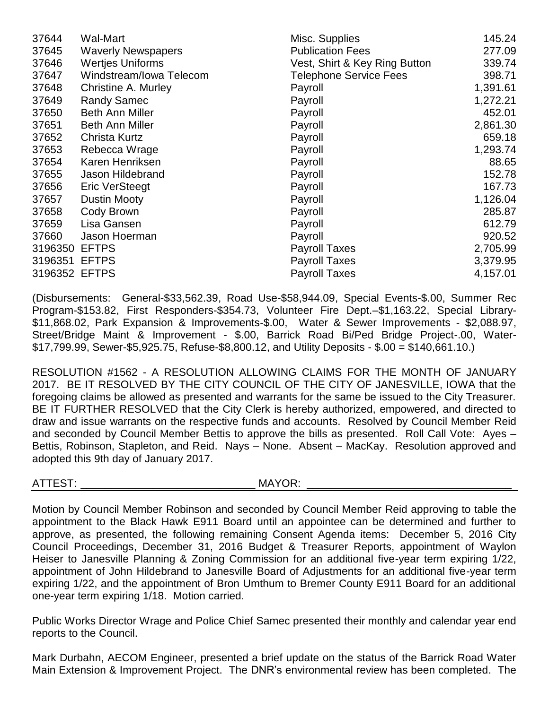| 37644   | <b>Wal-Mart</b>            | Misc. Supplies                | 145.24   |
|---------|----------------------------|-------------------------------|----------|
| 37645   | <b>Waverly Newspapers</b>  | <b>Publication Fees</b>       | 277.09   |
| 37646   | <b>Wertjes Uniforms</b>    | Vest, Shirt & Key Ring Button | 339.74   |
| 37647   | Windstream/Iowa Telecom    | <b>Telephone Service Fees</b> | 398.71   |
| 37648   | <b>Christine A. Murley</b> | Payroll                       | 1,391.61 |
| 37649   | <b>Randy Samec</b>         | Payroll                       | 1,272.21 |
| 37650   | <b>Beth Ann Miller</b>     | Payroll                       | 452.01   |
| 37651   | <b>Beth Ann Miller</b>     | Payroll                       | 2,861.30 |
| 37652   | Christa Kurtz              | Payroll                       | 659.18   |
| 37653   | Rebecca Wrage              | Payroll                       | 1,293.74 |
| 37654   | Karen Henriksen            | Payroll                       | 88.65    |
| 37655   | Jason Hildebrand           | Payroll                       | 152.78   |
| 37656   | <b>Eric VerSteegt</b>      | Payroll                       | 167.73   |
| 37657   | <b>Dustin Mooty</b>        | Payroll                       | 1,126.04 |
| 37658   | Cody Brown                 | Payroll                       | 285.87   |
| 37659   | Lisa Gansen                | Payroll                       | 612.79   |
| 37660   | Jason Hoerman              | Payroll                       | 920.52   |
| 3196350 | <b>EFTPS</b>               | <b>Payroll Taxes</b>          | 2,705.99 |
| 3196351 | <b>EFTPS</b>               | <b>Payroll Taxes</b>          | 3,379.95 |
| 3196352 | <b>EFTPS</b>               | <b>Payroll Taxes</b>          | 4,157.01 |

(Disbursements: General-\$33,562.39, Road Use-\$58,944.09, Special Events-\$.00, Summer Rec Program-\$153.82, First Responders-\$354.73, Volunteer Fire Dept.–\$1,163.22, Special Library- \$11,868.02, Park Expansion & Improvements-\$.00, Water & Sewer Improvements - \$2,088.97, Street/Bridge Maint & Improvement - \$.00, Barrick Road Bi/Ped Bridge Project-.00, Water- \$17,799.99, Sewer-\$5,925.75, Refuse-\$8,800.12, and Utility Deposits - \$.00 = \$140,661.10.)

RESOLUTION #1562 - A RESOLUTION ALLOWING CLAIMS FOR THE MONTH OF JANUARY 2017. BE IT RESOLVED BY THE CITY COUNCIL OF THE CITY OF JANESVILLE, IOWA that the foregoing claims be allowed as presented and warrants for the same be issued to the City Treasurer. BE IT FURTHER RESOLVED that the City Clerk is hereby authorized, empowered, and directed to draw and issue warrants on the respective funds and accounts. Resolved by Council Member Reid and seconded by Council Member Bettis to approve the bills as presented. Roll Call Vote: Ayes – Bettis, Robinson, Stapleton, and Reid. Nays – None. Absent – MacKay. Resolution approved and adopted this 9th day of January 2017.

ATTEST: \_\_\_\_\_\_\_\_\_\_\_\_\_\_\_\_\_\_\_\_\_\_\_\_\_\_\_\_\_ MAYOR: \_\_\_\_\_\_\_\_\_\_\_\_\_\_\_\_\_\_\_\_\_\_\_\_\_\_\_\_\_\_\_\_\_\_

Motion by Council Member Robinson and seconded by Council Member Reid approving to table the appointment to the Black Hawk E911 Board until an appointee can be determined and further to approve, as presented, the following remaining Consent Agenda items: December 5, 2016 City Council Proceedings, December 31, 2016 Budget & Treasurer Reports, appointment of Waylon Heiser to Janesville Planning & Zoning Commission for an additional five-year term expiring 1/22, appointment of John Hildebrand to Janesville Board of Adjustments for an additional five-year term expiring 1/22, and the appointment of Bron Umthum to Bremer County E911 Board for an additional one-year term expiring 1/18. Motion carried.

Public Works Director Wrage and Police Chief Samec presented their monthly and calendar year end reports to the Council.

Mark Durbahn, AECOM Engineer, presented a brief update on the status of the Barrick Road Water Main Extension & Improvement Project. The DNR's environmental review has been completed. The